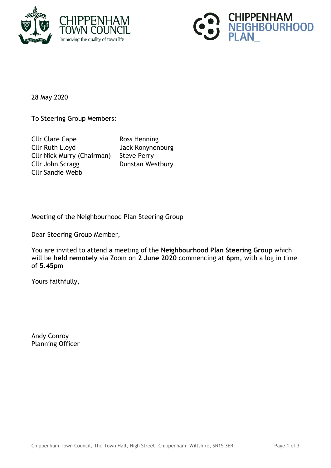



28 May 2020

To Steering Group Members:

Cllr Clare Cape Ross Henning Cllr Ruth Lloyd Jack Konynenburg Cllr Nick Murry (Chairman) Steve Perry Cllr John Scragg Dunstan Westbury Cllr Sandie Webb

Meeting of the Neighbourhood Plan Steering Group

Dear Steering Group Member,

You are invited to attend a meeting of the **Neighbourhood Plan Steering Group** which will be **held remotely** via Zoom on **2 June 2020** commencing at **6pm,** with a log in time of **5.45pm**

Yours faithfully,

Andy Conroy Planning Officer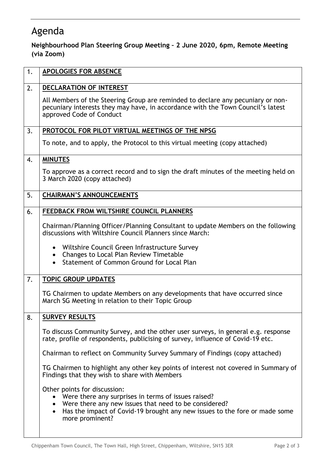## Agenda

## **Neighbourhood Plan Steering Group Meeting – 2 June 2020, 6pm, Remote Meeting (via Zoom)**

| 1. | <b>APOLOGIES FOR ABSENCE</b>                                                                                                                                                                                                                    |
|----|-------------------------------------------------------------------------------------------------------------------------------------------------------------------------------------------------------------------------------------------------|
| 2. | DECLARATION OF INTEREST                                                                                                                                                                                                                         |
|    | All Members of the Steering Group are reminded to declare any pecuniary or non-<br>pecuniary interests they may have, in accordance with the Town Council's latest<br>approved Code of Conduct                                                  |
| 3. | PROTOCOL FOR PILOT VIRTUAL MEETINGS OF THE NPSG                                                                                                                                                                                                 |
|    | To note, and to apply, the Protocol to this virtual meeting (copy attached)                                                                                                                                                                     |
| 4. | <b>MINUTES</b>                                                                                                                                                                                                                                  |
|    | To approve as a correct record and to sign the draft minutes of the meeting held on<br>3 March 2020 (copy attached)                                                                                                                             |
| 5. | <b>CHAIRMAN'S ANNOUNCEMENTS</b>                                                                                                                                                                                                                 |
| 6. | FEEDBACK FROM WILTSHIRE COUNCIL PLANNERS                                                                                                                                                                                                        |
|    | Chairman/Planning Officer/Planning Consultant to update Members on the following<br>discussions with Wiltshire Council Planners since March:                                                                                                    |
|    | • Wiltshire Council Green Infrastructure Survey<br>Changes to Local Plan Review Timetable<br>$\bullet$<br>Statement of Common Ground for Local Plan<br>$\bullet$                                                                                |
| 7. | <b>TOPIC GROUP UPDATES</b>                                                                                                                                                                                                                      |
|    | TG Chairmen to update Members on any developments that have occurred since<br>March SG Meeting in relation to their Topic Group                                                                                                                 |
| 8. | <b>SURVEY RESULTS</b>                                                                                                                                                                                                                           |
|    | To discuss Community Survey, and the other user surveys, in general e.g. response<br>rate, profile of respondents, publicising of survey, influence of Covid-19 etc.                                                                            |
|    | Chairman to reflect on Community Survey Summary of Findings (copy attached)                                                                                                                                                                     |
|    | TG Chairmen to highlight any other key points of interest not covered in Summary of<br>Findings that they wish to share with Members                                                                                                            |
|    | Other points for discussion:<br>Were there any surprises in terms of issues raised?<br>• Were there any new issues that need to be considered?<br>Has the impact of Covid-19 brought any new issues to the fore or made some<br>more prominent? |